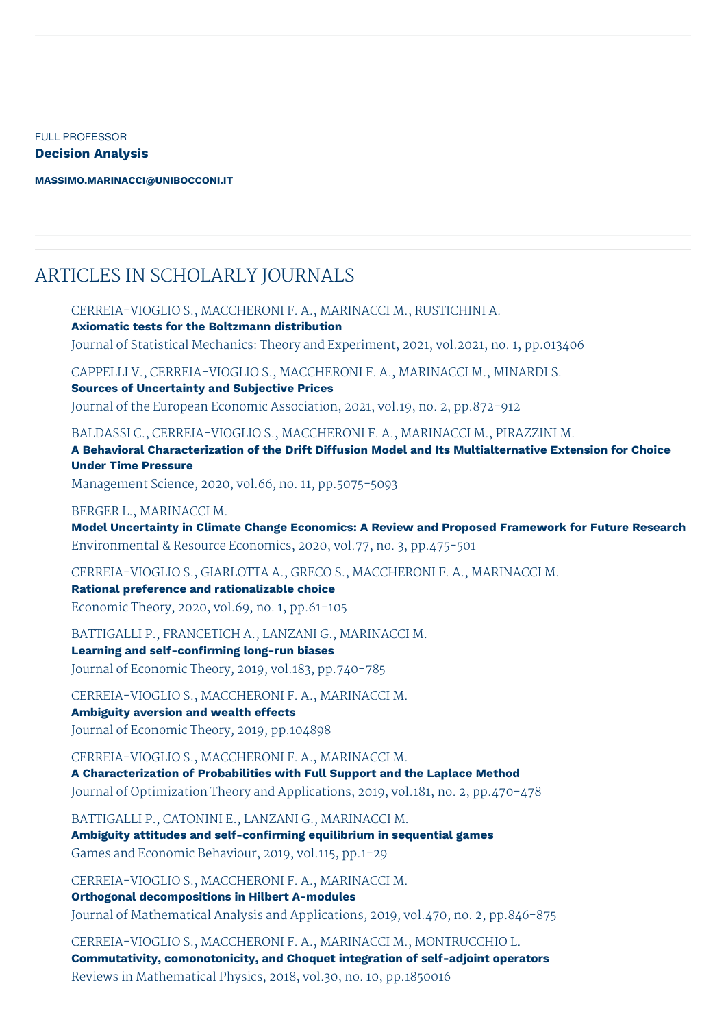FULL PROFESSOR **Decision Analysis**

**[MASSIMO.MARINACCI@UNIBOCCONI.IT](mailto:massimo.marinacci@unibocconi.it)**

## ARTICLES IN SCHOLARLY JOURNALS

CERREIA-VIOGLIO S., MACCHERONI F. A., MARINACCI M., RUSTICHINI A. **Axiomatic tests for the Boltzmann distribution** Journal of Statistical Mechanics: Theory and Experiment, 2021, vol.2021, no. 1, pp.013406 CAPPELLI V., CERREIA-VIOGLIO S., MACCHERONI F. A., MARINACCI M., MINARDI S. **Sources of Uncertainty and Subjective Prices** Journal of the European Economic Association, 2021, vol.19, no. 2, pp.872-912 BALDASSI C., CERREIA-VIOGLIO S., MACCHERONI F. A., MARINACCI M., PIRAZZINI M. **A Behavioral Characterization of the Drift Diffusion Model and Its Multialternative Extension for Choice Under Time Pressure** Management Science, 2020, vol.66, no. 11, pp.5075-5093 BERGER L., MARINACCI M. **Model Uncertainty in Climate Change Economics: A Review and Proposed Framework for Future Research** Environmental & Resource Economics, 2020, vol.77, no. 3, pp.475-501 CERREIA-VIOGLIO S., GIARLOTTA A., GRECO S., MACCHERONI F. A., MARINACCI M. **Rational preference and rationalizable choice** Economic Theory, 2020, vol.69, no. 1, pp.61-105 BATTIGALLI P., FRANCETICH A., LANZANI G., MARINACCI M. **Learning and self-confirming long-run biases** Journal of Economic Theory, 2019, vol.183, pp.740-785 CERREIA-VIOGLIO S., MACCHERONI F. A., MARINACCI M. **Ambiguity aversion and wealth effects** Journal of Economic Theory, 2019, pp.104898

CERREIA-VIOGLIO S., MACCHERONI F. A., MARINACCI M. **A Characterization of Probabilities with Full Support and the Laplace Method** Journal of Optimization Theory and Applications, 2019, vol.181, no. 2, pp.470-478

BATTIGALLI P., CATONINI E., LANZANI G., MARINACCI M. **Ambiguity attitudes and self-confirming equilibrium in sequential games** Games and Economic Behaviour, 2019, vol.115, pp.1-29

CERREIA-VIOGLIO S., MACCHERONI F. A., MARINACCI M. **Orthogonal decompositions in Hilbert A-modules** Journal of Mathematical Analysis and Applications, 2019, vol.470, no. 2, pp.846-875

CERREIA-VIOGLIO S., MACCHERONI F. A., MARINACCI M., MONTRUCCHIO L. **Commutativity, comonotonicity, and Choquet integration of self-adjoint operators** Reviews in Mathematical Physics, 2018, vol.30, no. 10, pp.1850016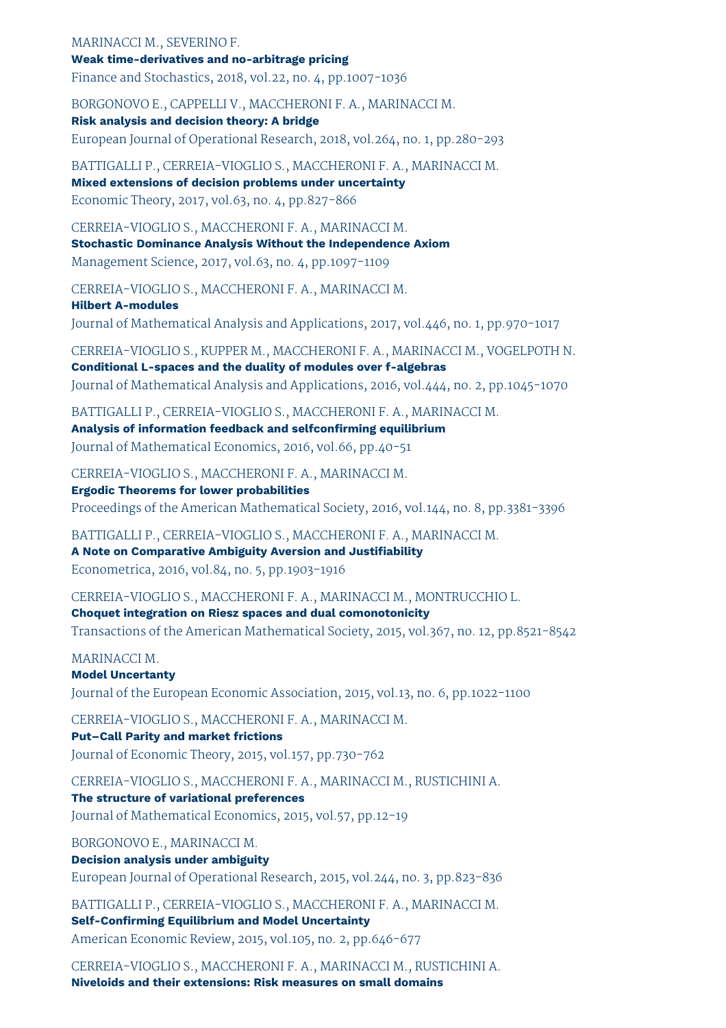MARINACCI M., SEVERINO F. **Weak time-derivatives and no-arbitrage pricing**

Finance and Stochastics, 2018, vol.22, no. 4, pp.1007-1036

BORGONOVO E., CAPPELLI V., MACCHERONI F. A., MARINACCI M.

**Risk analysis and decision theory: A bridge** European Journal of Operational Research, 2018, vol.264, no. 1, pp.280-293

BATTIGALLI P., CERREIA-VIOGLIO S., MACCHERONI F. A., MARINACCI M. **Mixed extensions of decision problems under uncertainty** Economic Theory, 2017, vol.63, no. 4, pp.827-866

CERREIA-VIOGLIO S., MACCHERONI F. A., MARINACCI M. **Stochastic Dominance Analysis Without the Independence Axiom** Management Science, 2017, vol.63, no. 4, pp.1097-1109

CERREIA-VIOGLIO S., MACCHERONI F. A., MARINACCI M. **Hilbert A-modules** Journal of Mathematical Analysis and Applications, 2017, vol.446, no. 1, pp.970-1017

CERREIA-VIOGLIO S., KUPPER M., MACCHERONI F. A., MARINACCI M., VOGELPOTH N. **Conditional L-spaces and the duality of modules over f-algebras** Journal of Mathematical Analysis and Applications, 2016, vol.444, no. 2, pp.1045-1070

BATTIGALLI P., CERREIA-VIOGLIO S., MACCHERONI F. A., MARINACCI M. **Analysis of information feedback and selfconfirming equilibrium** Journal of Mathematical Economics, 2016, vol.66, pp.40-51

CERREIA-VIOGLIO S., MACCHERONI F. A., MARINACCI M.

**Ergodic Theorems for lower probabilities** Proceedings of the American Mathematical Society, 2016, vol.144, no. 8, pp.3381-3396

BATTIGALLI P., CERREIA-VIOGLIO S., MACCHERONI F. A., MARINACCI M. **A Note on Comparative Ambiguity Aversion and Justifiability** Econometrica, 2016, vol.84, no. 5, pp.1903-1916

CERREIA-VIOGLIO S., MACCHERONI F. A., MARINACCI M., MONTRUCCHIO L. **Choquet integration on Riesz spaces and dual comonotonicity** Transactions of the American Mathematical Society, 2015, vol.367, no. 12, pp.8521-8542

MARINACCI M.

**Model Uncertanty** Journal of the European Economic Association, 2015, vol.13, no. 6, pp.1022-1100

CERREIA-VIOGLIO S., MACCHERONI F. A., MARINACCI M. **Put–Call Parity and market frictions** Journal of Economic Theory, 2015, vol.157, pp.730-762

CERREIA-VIOGLIO S., MACCHERONI F. A., MARINACCI M., RUSTICHINI A. **The structure of variational preferences** Journal of Mathematical Economics, 2015, vol.57, pp.12-19

BORGONOVO E., MARINACCI M. **Decision analysis under ambiguity** European Journal of Operational Research, 2015, vol.244, no. 3, pp.823-836

BATTIGALLI P., CERREIA-VIOGLIO S., MACCHERONI F. A., MARINACCI M. **Self-Confirming Equilibrium and Model Uncertainty** American Economic Review, 2015, vol.105, no. 2, pp.646-677

CERREIA-VIOGLIO S., MACCHERONI F. A., MARINACCI M., RUSTICHINI A. **Niveloids and their extensions: Risk measures on small domains**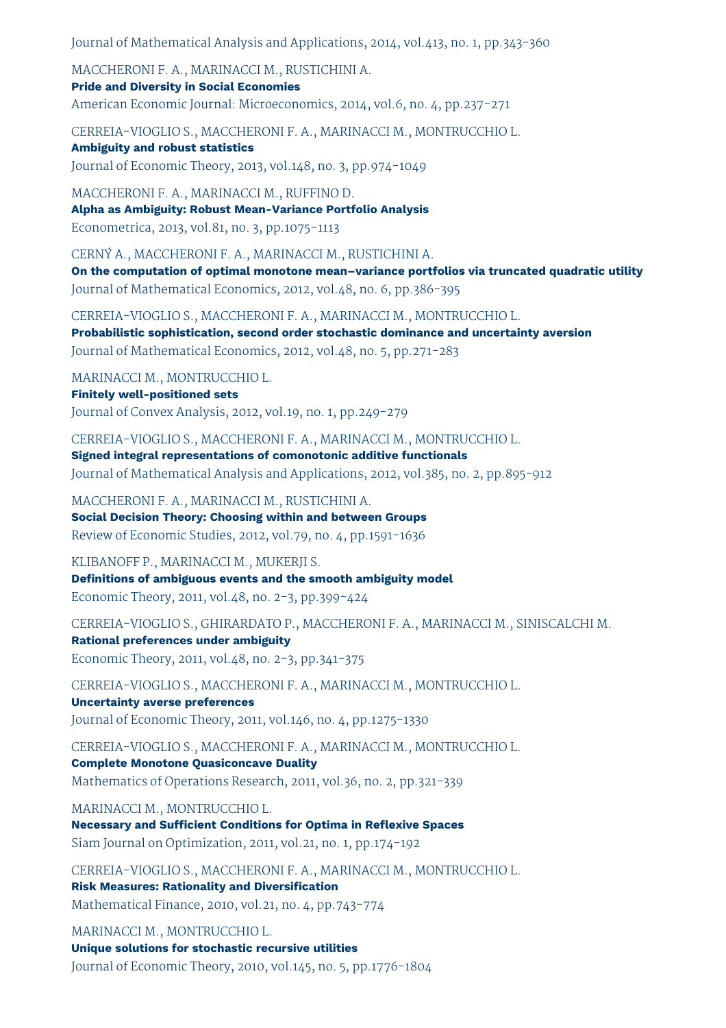Journal of Mathematical Analysis and Applications, 2014, vol.413, no. 1, pp.343-360

MACCHERONI F. A., MARINACCI M., RUSTICHINI A. **Pride and Diversity in Social Economies**

American Economic Journal: Microeconomics, 2014, vol.6, no. 4, pp.237-271

CERREIA-VIOGLIO S., MACCHERONI F. A., MARINACCI M., MONTRUCCHIO L.

**Ambiguity and robust statistics** Journal of Economic Theory, 2013, vol.148, no. 3, pp.974-1049

MACCHERONI F. A., MARINACCI M., RUFFINO D. **Alpha as Ambiguity: Robust Mean-Variance Portfolio Analysis** Econometrica, 2013, vol.81, no. 3, pp.1075-1113

CERNÝ A., MACCHERONI F. A., MARINACCI M., RUSTICHINI A. **On the computation of optimal monotone mean–variance portfolios via truncated quadratic utility** Journal of Mathematical Economics, 2012, vol.48, no. 6, pp.386-395

CERREIA-VIOGLIO S., MACCHERONI F. A., MARINACCI M., MONTRUCCHIO L. **Probabilistic sophistication, second order stochastic dominance and uncertainty aversion** Journal of Mathematical Economics, 2012, vol.48, no. 5, pp.271-283

MARINACCI M., MONTRUCCHIO L. **Finitely well-positioned sets** Journal of Convex Analysis, 2012, vol.19, no. 1, pp.249-279

CERREIA-VIOGLIO S., MACCHERONI F. A., MARINACCI M., MONTRUCCHIO L. **Signed integral representations of comonotonic additive functionals** Journal of Mathematical Analysis and Applications, 2012, vol.385, no. 2, pp.895-912

MACCHERONI F. A., MARINACCI M., RUSTICHINI A. **Social Decision Theory: Choosing within and between Groups** Review of Economic Studies, 2012, vol.79, no. 4, pp.1591-1636

KLIBANOFF P., MARINACCI M., MUKERJI S. **Definitions of ambiguous events and the smooth ambiguity model** Economic Theory, 2011, vol.48, no. 2-3, pp.399-424

CERREIA-VIOGLIO S., GHIRARDATO P., MACCHERONI F. A., MARINACCI M., SINISCALCHI M. **Rational preferences under ambiguity** Economic Theory, 2011, vol.48, no. 2-3, pp.341-375

CERREIA-VIOGLIO S., MACCHERONI F. A., MARINACCI M., MONTRUCCHIO L.

**Uncertainty averse preferences** Journal of Economic Theory, 2011, vol.146, no. 4, pp.1275-1330

CERREIA-VIOGLIO S., MACCHERONI F. A., MARINACCI M., MONTRUCCHIO L. **Complete Monotone Quasiconcave Duality** Mathematics of Operations Research, 2011, vol.36, no. 2, pp.321-339

MARINACCI M., MONTRUCCHIO L.

**Necessary and Sufficient Conditions for Optima in Reflexive Spaces** Siam Journal on Optimization, 2011, vol.21, no. 1, pp.174-192

CERREIA-VIOGLIO S., MACCHERONI F. A., MARINACCI M., MONTRUCCHIO L. **Risk Measures: Rationality and Diversification** Mathematical Finance, 2010, vol.21, no. 4, pp.743-774

MARINACCI M., MONTRUCCHIO L. **Unique solutions for stochastic recursive utilities** Journal of Economic Theory, 2010, vol.145, no. 5, pp.1776-1804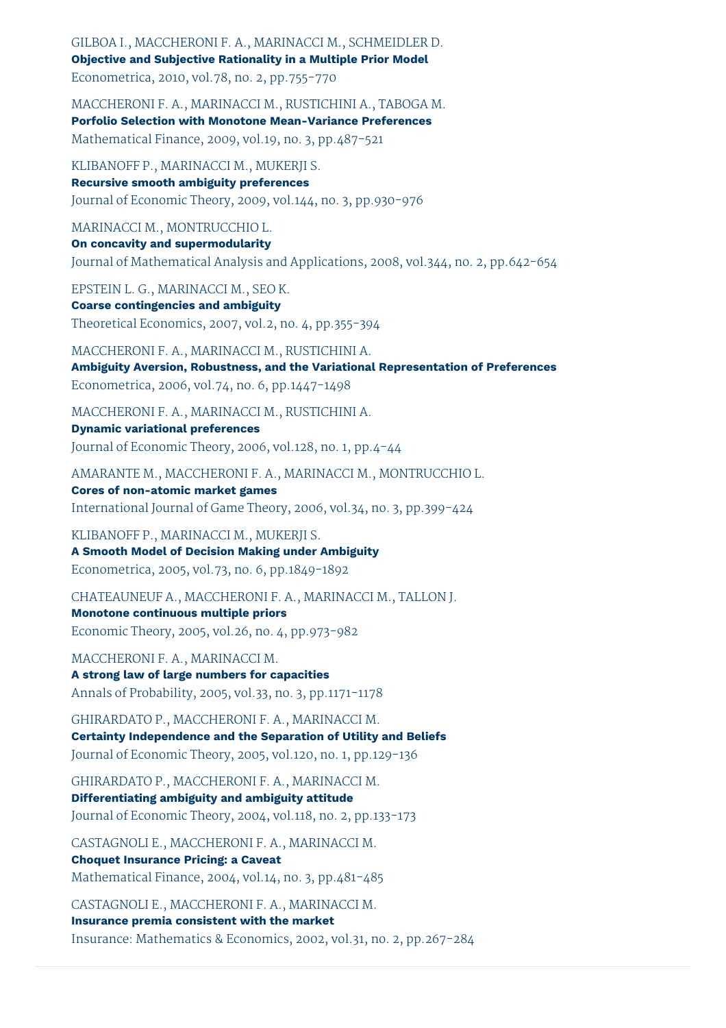GILBOA I., MACCHERONI F. A., MARINACCI M., SCHMEIDLER D. **Objective and Subjective Rationality in a Multiple Prior Model** Econometrica, 2010, vol.78, no. 2, pp.755-770

MACCHERONI F. A., MARINACCI M., RUSTICHINI A., TABOGA M. **Porfolio Selection with Monotone Mean-Variance Preferences** Mathematical Finance, 2009, vol.19, no. 3, pp.487-521

KLIBANOFF P., MARINACCI M., MUKERJI S.

**Recursive smooth ambiguity preferences** Journal of Economic Theory, 2009, vol.144, no. 3, pp.930-976

MARINACCI M., MONTRUCCHIO L.

**On concavity and supermodularity** Journal of Mathematical Analysis and Applications, 2008, vol.344, no. 2, pp.642-654

EPSTEIN L. G., MARINACCI M., SEO K. **Coarse contingencies and ambiguity** Theoretical Economics, 2007, vol.2, no. 4, pp.355-394

MACCHERONI F. A., MARINACCI M., RUSTICHINI A. **Ambiguity Aversion, Robustness, and the Variational Representation of Preferences** Econometrica, 2006, vol.74, no. 6, pp.1447-1498

MACCHERONI F. A., MARINACCI M., RUSTICHINI A. **Dynamic variational preferences** Journal of Economic Theory, 2006, vol.128, no. 1, pp.4-44

AMARANTE M., MACCHERONI F. A., MARINACCI M., MONTRUCCHIO L. **Cores of non-atomic market games** International Journal of Game Theory, 2006, vol.34, no. 3, pp.399-424

KLIBANOFF P., MARINACCI M., MUKERJI S. **A Smooth Model of Decision Making under Ambiguity** Econometrica, 2005, vol.73, no. 6, pp.1849-1892

CHATEAUNEUF A., MACCHERONI F. A., MARINACCI M., TALLON J. **Monotone continuous multiple priors**

Economic Theory, 2005, vol.26, no. 4, pp.973-982

MACCHERONI F. A., MARINACCI M. **A strong law of large numbers for capacities** Annals of Probability, 2005, vol.33, no. 3, pp.1171-1178

GHIRARDATO P., MACCHERONI F. A., MARINACCI M. **Certainty Independence and the Separation of Utility and Beliefs** Journal of Economic Theory, 2005, vol.120, no. 1, pp.129-136

GHIRARDATO P., MACCHERONI F. A., MARINACCI M. **Differentiating ambiguity and ambiguity attitude** Journal of Economic Theory, 2004, vol.118, no. 2, pp.133-173

CASTAGNOLI E., MACCHERONI F. A., MARINACCI M. **Choquet Insurance Pricing: a Caveat** Mathematical Finance, 2004, vol.14, no. 3, pp.481-485

CASTAGNOLI E., MACCHERONI F. A., MARINACCI M. **Insurance premia consistent with the market** Insurance: Mathematics & Economics, 2002, vol.31, no. 2, pp.267-284